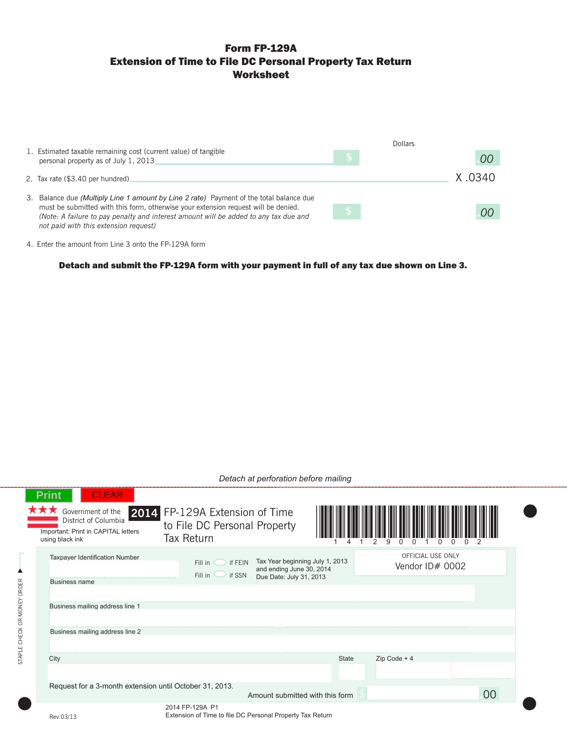# Form FP-129A Extension of Time to File DC Personal Property Tax Return Worksheet

|                                                                                                                                                                            |            | Dollars |
|----------------------------------------------------------------------------------------------------------------------------------------------------------------------------|------------|---------|
| 1. Estimated taxable remaining cost (current value) of tangible<br>personal property as of July 1, 2013                                                                    |            | 00      |
| 2. Tax rate (\$3.40 per hundred)                                                                                                                                           |            | X 0340  |
| 3. Balance due <i>(Multiply Line 1 amount by Line 2 rate)</i> Payment of the total balance due                                                                             |            |         |
| must be submitted with this form, otherwise your extension request will be denied.<br>(Note: A failure to pay penalty and interest amount will be added to any tax due and | $\sqrt{3}$ | OO      |
| not paid with this extension request)                                                                                                                                      |            |         |

4. Enter the amount from Line 3 onto the FP-129A form

Detach and submit the FP-129A form with your payment in full of any tax due shown on Line 3.

|                             | Detach at perforation before mailing                                                                                                |                                                                                                                                   |              |                                      |    |  |  |  |
|-----------------------------|-------------------------------------------------------------------------------------------------------------------------------------|-----------------------------------------------------------------------------------------------------------------------------------|--------------|--------------------------------------|----|--|--|--|
|                             | <b>CLEAR</b><br><b>Print</b><br>Government of the<br>District of Columbia<br>Important: Print in CAPITAL letters<br>using black ink | 2014 FP-129A Extension of Time<br>to File DC Personal Property<br><b>Tax Return</b>                                               |              |                                      |    |  |  |  |
| ▲                           | <b>Taxpaver Identification Number</b><br><b>Business name</b>                                                                       | Tax Year beginning July 1, 2013<br>Fill in<br>if FEIN<br>and ending June 30, 2014<br>Fill in<br>if SSN<br>Due Date: July 31, 2013 |              | OFFICIAL USE ONLY<br>Vendor ID# 0002 |    |  |  |  |
| STAPLE CHECK OR MONEY ORDER | Business mailing address line 1                                                                                                     |                                                                                                                                   |              |                                      |    |  |  |  |
|                             | Business mailing address line 2                                                                                                     |                                                                                                                                   |              |                                      |    |  |  |  |
|                             | City                                                                                                                                |                                                                                                                                   | <b>State</b> | $Zip Code + 4$                       |    |  |  |  |
|                             |                                                                                                                                     | Request for a 3-month extension until October 31, 2013.<br>Amount submitted with this form                                        |              |                                      | 00 |  |  |  |
|                             | Rev 03/13                                                                                                                           | 2014 FP-129A P1<br>Extension of Time to file DC Personal Property Tax Return                                                      |              |                                      |    |  |  |  |